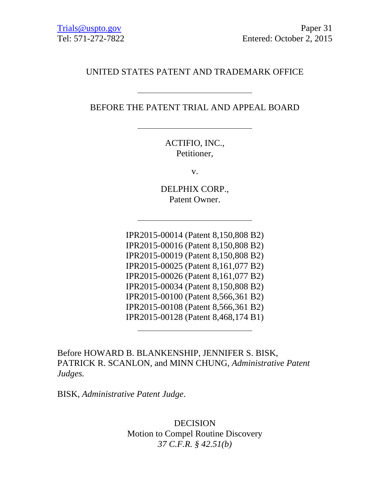## UNITED STATES PATENT AND TRADEMARK OFFICE

## BEFORE THE PATENT TRIAL AND APPEAL BOARD

ACTIFIO, INC., Petitioner,

v.

DELPHIX CORP., Patent Owner.

IPR2015-00014 (Patent 8,150,808 B2) IPR2015-00016 (Patent 8,150,808 B2) IPR2015-00019 (Patent 8,150,808 B2) IPR2015-00025 (Patent 8,161,077 B2) IPR2015-00026 (Patent 8,161,077 B2) IPR2015-00034 (Patent 8,150,808 B2) IPR2015-00100 (Patent 8,566,361 B2) IPR2015-00108 (Patent 8,566,361 B2) IPR2015-00128 (Patent 8,468,174 B1)

Before HOWARD B. BLANKENSHIP, JENNIFER S. BISK, PATRICK R. SCANLON, and MINN CHUNG, *Administrative Patent Judges.*

BISK, *Administrative Patent Judge*.

DECISION Motion to Compel Routine Discovery *37 C.F.R. § 42.51(b)*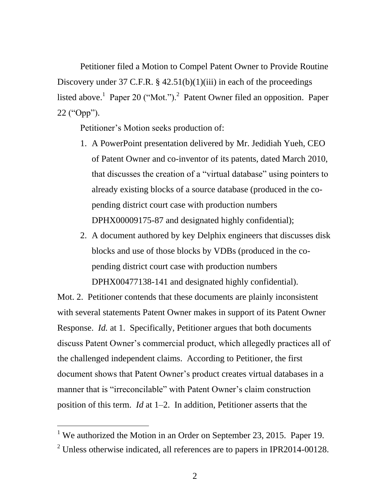Petitioner filed a Motion to Compel Patent Owner to Provide Routine Discovery under 37 C.F.R.  $\S$  42.51(b)(1)(iii) in each of the proceedings listed above.<sup>1</sup> Paper 20 ("Mot.").<sup>2</sup> Patent Owner filed an opposition. Paper 22 ("Opp").

Petitioner's Motion seeks production of:

- 1. A PowerPoint presentation delivered by Mr. Jedidiah Yueh, CEO of Patent Owner and co-inventor of its patents, dated March 2010, that discusses the creation of a "virtual database" using pointers to already existing blocks of a source database (produced in the copending district court case with production numbers DPHX00009175-87 and designated highly confidential);
- 2. A document authored by key Delphix engineers that discusses disk blocks and use of those blocks by VDBs (produced in the copending district court case with production numbers DPHX00477138-141 and designated highly confidential).

Mot. 2. Petitioner contends that these documents are plainly inconsistent with several statements Patent Owner makes in support of its Patent Owner Response. *Id.* at 1. Specifically, Petitioner argues that both documents discuss Patent Owner's commercial product, which allegedly practices all of the challenged independent claims. According to Petitioner, the first document shows that Patent Owner's product creates virtual databases in a manner that is "irreconcilable" with Patent Owner's claim construction position of this term. *Id* at 1–2. In addition, Petitioner asserts that the

 $\overline{a}$ 

<sup>&</sup>lt;sup>1</sup> We authorized the Motion in an Order on September 23, 2015. Paper 19.

 $2$  Unless otherwise indicated, all references are to papers in IPR2014-00128.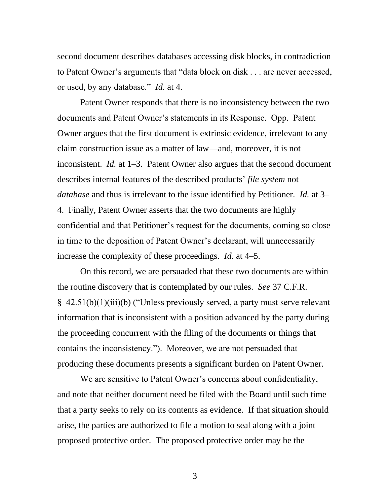second document describes databases accessing disk blocks, in contradiction to Patent Owner's arguments that "data block on disk . . . are never accessed, or used, by any database." *Id.* at 4.

Patent Owner responds that there is no inconsistency between the two documents and Patent Owner's statements in its Response. Opp. Patent Owner argues that the first document is extrinsic evidence, irrelevant to any claim construction issue as a matter of law—and, moreover, it is not inconsistent. *Id.* at 1–3. Patent Owner also argues that the second document describes internal features of the described products' *file system* not *database* and thus is irrelevant to the issue identified by Petitioner. *Id.* at 3– 4. Finally, Patent Owner asserts that the two documents are highly confidential and that Petitioner's request for the documents, coming so close in time to the deposition of Patent Owner's declarant, will unnecessarily increase the complexity of these proceedings. *Id.* at 4–5.

On this record, we are persuaded that these two documents are within the routine discovery that is contemplated by our rules. *See* 37 C.F.R. § 42.51(b)(1)(iii)(b) ("Unless previously served, a party must serve relevant information that is inconsistent with a position advanced by the party during the proceeding concurrent with the filing of the documents or things that contains the inconsistency."). Moreover, we are not persuaded that producing these documents presents a significant burden on Patent Owner.

We are sensitive to Patent Owner's concerns about confidentiality, and note that neither document need be filed with the Board until such time that a party seeks to rely on its contents as evidence. If that situation should arise, the parties are authorized to file a motion to seal along with a joint proposed protective order. The proposed protective order may be the

3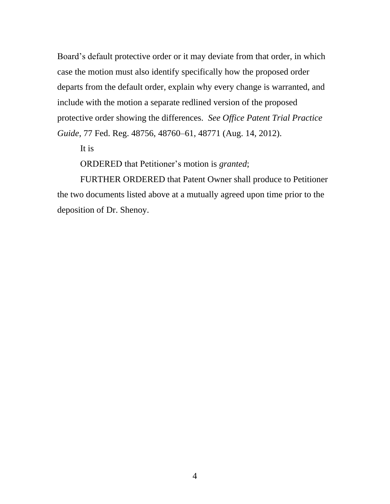Board's default protective order or it may deviate from that order, in which case the motion must also identify specifically how the proposed order departs from the default order, explain why every change is warranted, and include with the motion a separate redlined version of the proposed protective order showing the differences. *See Office Patent Trial Practice Guide*, 77 Fed. Reg. 48756, 48760–61, 48771 (Aug. 14, 2012).

It is

ORDERED that Petitioner's motion is *granted*;

FURTHER ORDERED that Patent Owner shall produce to Petitioner the two documents listed above at a mutually agreed upon time prior to the deposition of Dr. Shenoy.